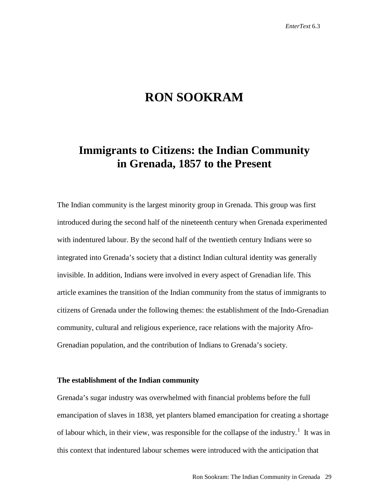# **RON SOOKRAM**

# **Immigrants to Citizens: the Indian Community in Grenada, 1857 to the Present**

The Indian community is the largest minority group in Grenada. This group was first introduced during the second half of the nineteenth century when Grenada experimented with indentured labour. By the second half of the twentieth century Indians were so integrated into Grenada's society that a distinct Indian cultural identity was generally invisible. In addition, Indians were involved in every aspect of Grenadian life. This article examines the transition of the Indian community from the status of immigrants to citizens of Grenada under the following themes: the establishment of the Indo-Grenadian community, cultural and religious experience, race relations with the majority Afro-Grenadian population, and the contribution of Indians to Grenada's society.

# **The establishment of the Indian community**

Grenada's sugar industry was overwhelmed with financial problems before the full emancipation of slaves in 1838, yet planters blamed emancipation for creating a shortage of labour which, in their view, was responsible for the collapse of the industry.<sup>[1](#page-20-0)</sup> It was in this context that indentured labour schemes were introduced with the anticipation that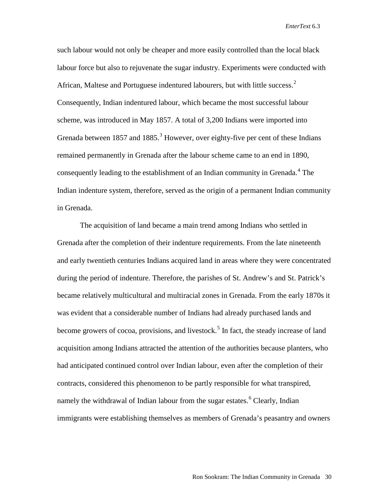such labour would not only be cheaper and more easily controlled than the local black labour force but also to rejuvenate the sugar industry. Experiments were conducted with African, Maltese and Portuguese indentured labourers, but with little success.<sup>[2](#page-21-0)</sup> Consequently, Indian indentured labour, which became the most successful labour scheme, was introduced in May 1857. A total of 3,200 Indians were imported into Grenada between 1857 and 1885.<sup>[3](#page-21-1)</sup> However, over eighty-five per cent of these Indians remained permanently in Grenada after the labour scheme came to an end in 1890, consequently leading to the establishment of an Indian community in Grenada.<sup>[4](#page-21-2)</sup> The Indian indenture system, therefore, served as the origin of a permanent Indian community in Grenada.

The acquisition of land became a main trend among Indians who settled in Grenada after the completion of their indenture requirements. From the late nineteenth and early twentieth centuries Indians acquired land in areas where they were concentrated during the period of indenture. Therefore, the parishes of St. Andrew's and St. Patrick's became relatively multicultural and multiracial zones in Grenada. From the early 1870s it was evident that a considerable number of Indians had already purchased lands and become growers of cocoa, provisions, and livestock.<sup>[5](#page-21-3)</sup> In fact, the steady increase of land acquisition among Indians attracted the attention of the authorities because planters, who had anticipated continued control over Indian labour, even after the completion of their contracts, considered this phenomenon to be partly responsible for what transpired, namely the withdrawal of Indian labour from the sugar estates.<sup>[6](#page-21-4)</sup> Clearly, Indian immigrants were establishing themselves as members of Grenada's peasantry and owners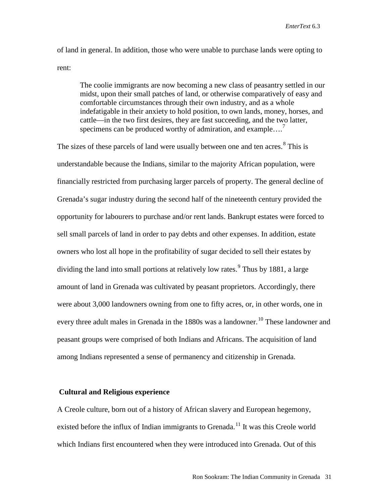of land in general. In addition, those who were unable to purchase lands were opting to rent:

The coolie immigrants are now becoming a new class of peasantry settled in our midst, upon their small patches of land, or otherwise comparatively of easy and comfortable circumstances through their own industry, and as a whole indefatigable in their anxiety to hold position, to own lands, money, horses, and cattle—in the two first desires, they are fast succeeding, and the two latter, specimens can be produced worthy of admiration, and example....<sup>[7](#page-22-0)</sup>

The sizes of these parcels of land were usually between one and ten acres.<sup>[8](#page-22-1)</sup> This is understandable because the Indians, similar to the majority African population, were financially restricted from purchasing larger parcels of property. The general decline of Grenada's sugar industry during the second half of the nineteenth century provided the opportunity for labourers to purchase and/or rent lands. Bankrupt estates were forced to sell small parcels of land in order to pay debts and other expenses. In addition, estate owners who lost all hope in the profitability of sugar decided to sell their estates by dividing the land into small portions at relatively low rates.<sup>[9](#page-22-2)</sup> Thus by 1881, a large amount of land in Grenada was cultivated by peasant proprietors. Accordingly, there were about 3,000 landowners owning from one to fifty acres, or, in other words, one in every three adult males in Grenada in the 1880s was a landowner.<sup>[10](#page-22-3)</sup> These landowner and peasant groups were comprised of both Indians and Africans. The acquisition of land among Indians represented a sense of permanency and citizenship in Grenada.

#### **Cultural and Religious experience**

A Creole culture, born out of a history of African slavery and European hegemony, existed before the influx of Indian immigrants to Grenada.<sup>[11](#page-22-4)</sup> It was this Creole world which Indians first encountered when they were introduced into Grenada. Out of this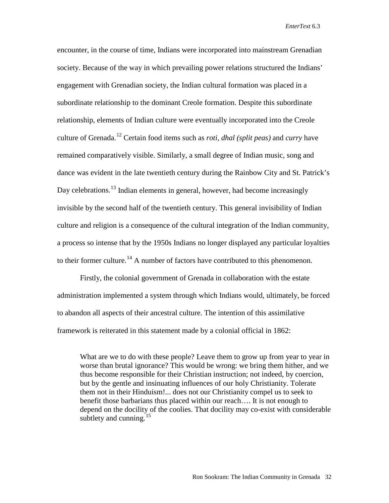encounter, in the course of time, Indians were incorporated into mainstream Grenadian society. Because of the way in which prevailing power relations structured the Indians' engagement with Grenadian society, the Indian cultural formation was placed in a subordinate relationship to the dominant Creole formation. Despite this subordinate relationship, elements of Indian culture were eventually incorporated into the Creole culture of Grenada.[12](#page-22-5) Certain food items such as *roti, dhal (split peas)* and *curry* have remained comparatively visible. Similarly, a small degree of Indian music, song and dance was evident in the late twentieth century during the Rainbow City and St. Patrick's Day celebrations.<sup>[13](#page-22-6)</sup> Indian elements in general, however, had become increasingly invisible by the second half of the twentieth century. This general invisibility of Indian culture and religion is a consequence of the cultural integration of the Indian community, a process so intense that by the 1950s Indians no longer displayed any particular loyalties to their former culture.<sup>[14](#page-22-7)</sup> A number of factors have contributed to this phenomenon.

Firstly, the colonial government of Grenada in collaboration with the estate administration implemented a system through which Indians would, ultimately, be forced to abandon all aspects of their ancestral culture. The intention of this assimilative framework is reiterated in this statement made by a colonial official in 1862:

What are we to do with these people? Leave them to grow up from year to year in worse than brutal ignorance? This would be wrong: we bring them hither, and we thus become responsible for their Christian instruction; not indeed, by coercion, but by the gentle and insinuating influences of our holy Christianity. Tolerate them not in their Hinduism!... does not our Christianity compel us to seek to benefit those barbarians thus placed within our reach…. It is not enough to depend on the docility of the coolies. That docility may co-exist with considerable subtlety and cunning. $^{15}$  $^{15}$  $^{15}$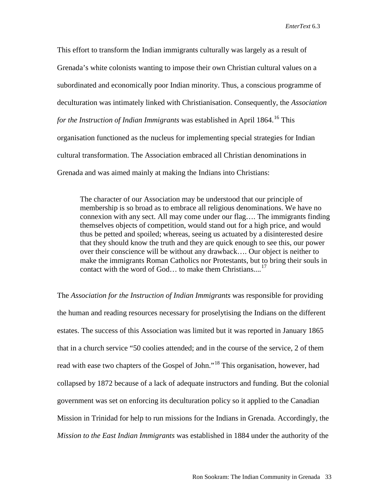This effort to transform the Indian immigrants culturally was largely as a result of Grenada's white colonists wanting to impose their own Christian cultural values on a subordinated and economically poor Indian minority. Thus, a conscious programme of deculturation was intimately linked with Christianisation. Consequently, the *Association for the Instruction of Indian Immigrants* was established in April 1864.<sup>[16](#page-22-9)</sup> This organisation functioned as the nucleus for implementing special strategies for Indian cultural transformation. The Association embraced all Christian denominations in Grenada and was aimed mainly at making the Indians into Christians:

The character of our Association may be understood that our principle of membership is so broad as to embrace all religious denominations. We have no connexion with any sect. All may come under our flag…. The immigrants finding themselves objects of competition, would stand out for a high price, and would thus be petted and spoiled; whereas, seeing us actuated by a disinterested desire that they should know the truth and they are quick enough to see this, our power over their conscience will be without any drawback…. Our object is neither to make the immigrants Roman Catholics nor Protestants, but to bring their souls in contact with the word of God... to make them Christians....<sup>[17](#page-22-10)</sup>

The *Association for the Instruction of Indian Immigrants* was responsible for providing the human and reading resources necessary for proselytising the Indians on the different estates. The success of this Association was limited but it was reported in January 1865 that in a church service "50 coolies attended; and in the course of the service, 2 of them read with ease two chapters of the Gospel of John."[18](#page-22-11) This organisation, however, had collapsed by 1872 because of a lack of adequate instructors and funding. But the colonial government was set on enforcing its deculturation policy so it applied to the Canadian Mission in Trinidad for help to run missions for the Indians in Grenada. Accordingly, the *Mission to the East Indian Immigrants* was established in 1884 under the authority of the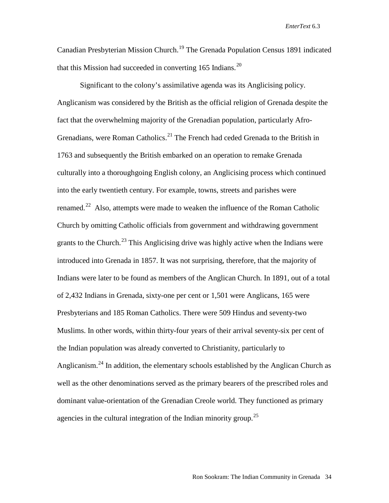Canadian Presbyterian Mission Church.[19](#page-22-12) The Grenada Population Census 1891 indicated that this Mission had succeeded in converting  $165$  Indians.<sup>[20](#page-22-13)</sup>

Significant to the colony's assimilative agenda was its Anglicising policy. Anglicanism was considered by the British as the official religion of Grenada despite the fact that the overwhelming majority of the Grenadian population, particularly Afro-Grenadians, were Roman Catholics.<sup>[21](#page-22-14)</sup> The French had ceded Grenada to the British in 1763 and subsequently the British embarked on an operation to remake Grenada culturally into a thoroughgoing English colony, an Anglicising process which continued into the early twentieth century. For example, towns, streets and parishes were renamed.[22](#page-22-15) Also, attempts were made to weaken the influence of the Roman Catholic Church by omitting Catholic officials from government and withdrawing government grants to the Church.<sup>[23](#page-22-16)</sup> This Anglicising drive was highly active when the Indians were introduced into Grenada in 1857. It was not surprising, therefore, that the majority of Indians were later to be found as members of the Anglican Church. In 1891, out of a total of 2,432 Indians in Grenada, sixty-one per cent or 1,501 were Anglicans, 165 were Presbyterians and 185 Roman Catholics. There were 509 Hindus and seventy-two Muslims. In other words, within thirty-four years of their arrival seventy-six per cent of the Indian population was already converted to Christianity, particularly to Anglicanism.<sup>[24](#page-22-17)</sup> In addition, the elementary schools established by the Anglican Church as well as the other denominations served as the primary bearers of the prescribed roles and dominant value-orientation of the Grenadian Creole world. They functioned as primary agencies in the cultural integration of the Indian minority group.<sup>[25](#page-22-18)</sup>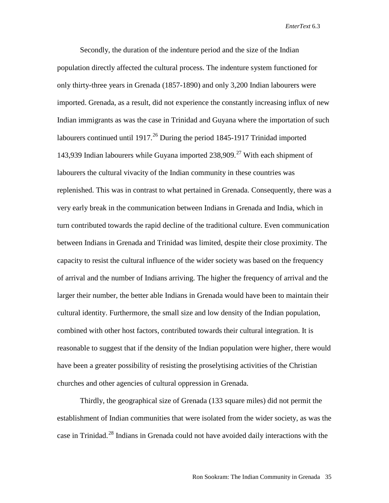Secondly, the duration of the indenture period and the size of the Indian population directly affected the cultural process. The indenture system functioned for only thirty-three years in Grenada (1857-1890) and only 3,200 Indian labourers were imported. Grenada, as a result, did not experience the constantly increasing influx of new Indian immigrants as was the case in Trinidad and Guyana where the importation of such labourers continued until  $1917<sup>26</sup>$  $1917<sup>26</sup>$  $1917<sup>26</sup>$  During the period 1845-1917 Trinidad imported 143,939 Indian labourers while Guyana imported  $238,909$ <sup>[27](#page-22-20)</sup> With each shipment of labourers the cultural vivacity of the Indian community in these countries was replenished. This was in contrast to what pertained in Grenada. Consequently, there was a very early break in the communication between Indians in Grenada and India, which in turn contributed towards the rapid decline of the traditional culture. Even communication between Indians in Grenada and Trinidad was limited, despite their close proximity. The capacity to resist the cultural influence of the wider society was based on the frequency of arrival and the number of Indians arriving. The higher the frequency of arrival and the larger their number, the better able Indians in Grenada would have been to maintain their cultural identity. Furthermore, the small size and low density of the Indian population, combined with other host factors, contributed towards their cultural integration. It is reasonable to suggest that if the density of the Indian population were higher, there would have been a greater possibility of resisting the proselytising activities of the Christian churches and other agencies of cultural oppression in Grenada.

Thirdly, the geographical size of Grenada (133 square miles) did not permit the establishment of Indian communities that were isolated from the wider society, as was the case in Trinidad.<sup>[28](#page-22-21)</sup> Indians in Grenada could not have avoided daily interactions with the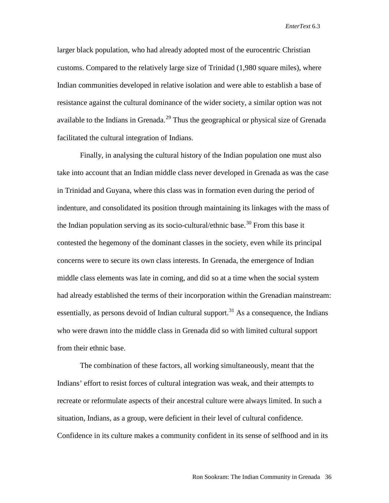larger black population, who had already adopted most of the eurocentric Christian customs. Compared to the relatively large size of Trinidad (1,980 square miles), where Indian communities developed in relative isolation and were able to establish a base of resistance against the cultural dominance of the wider society, a similar option was not available to the Indians in Grenada.<sup>[29](#page-22-22)</sup> Thus the geographical or physical size of Grenada facilitated the cultural integration of Indians.

Finally, in analysing the cultural history of the Indian population one must also take into account that an Indian middle class never developed in Grenada as was the case in Trinidad and Guyana, where this class was in formation even during the period of indenture, and consolidated its position through maintaining its linkages with the mass of the Indian population serving as its socio-cultural/ethnic base.<sup>[30](#page-22-23)</sup> From this base it contested the hegemony of the dominant classes in the society, even while its principal concerns were to secure its own class interests. In Grenada, the emergence of Indian middle class elements was late in coming, and did so at a time when the social system had already established the terms of their incorporation within the Grenadian mainstream: essentially, as persons devoid of Indian cultural support.<sup>[31](#page-22-24)</sup> As a consequence, the Indians who were drawn into the middle class in Grenada did so with limited cultural support from their ethnic base.

The combination of these factors, all working simultaneously, meant that the Indians' effort to resist forces of cultural integration was weak, and their attempts to recreate or reformulate aspects of their ancestral culture were always limited. In such a situation, Indians, as a group, were deficient in their level of cultural confidence. Confidence in its culture makes a community confident in its sense of selfhood and in its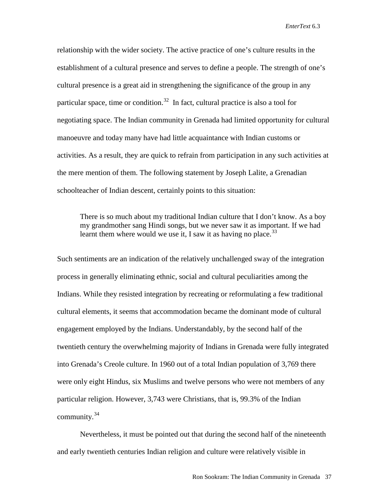relationship with the wider society. The active practice of one's culture results in the establishment of a cultural presence and serves to define a people. The strength of one's cultural presence is a great aid in strengthening the significance of the group in any particular space, time or condition.<sup>32</sup> In fact, cultural practice is also a tool for negotiating space. The Indian community in Grenada had limited opportunity for cultural manoeuvre and today many have had little acquaintance with Indian customs or activities. As a result, they are quick to refrain from participation in any such activities at the mere mention of them. The following statement by Joseph Lalite, a Grenadian schoolteacher of Indian descent, certainly points to this situation:

There is so much about my traditional Indian culture that I don't know. As a boy my grandmother sang Hindi songs, but we never saw it as important. If we had learnt them where would we use it, I saw it as having no place.<sup>[33](#page-22-26)</sup>

Such sentiments are an indication of the relatively unchallenged sway of the integration process in generally eliminating ethnic, social and cultural peculiarities among the Indians. While they resisted integration by recreating or reformulating a few traditional cultural elements, it seems that accommodation became the dominant mode of cultural engagement employed by the Indians. Understandably, by the second half of the twentieth century the overwhelming majority of Indians in Grenada were fully integrated into Grenada's Creole culture. In 1960 out of a total Indian population of 3,769 there were only eight Hindus, six Muslims and twelve persons who were not members of any particular religion. However, 3,743 were Christians, that is, 99.3% of the Indian community. $34$ 

Nevertheless, it must be pointed out that during the second half of the nineteenth and early twentieth centuries Indian religion and culture were relatively visible in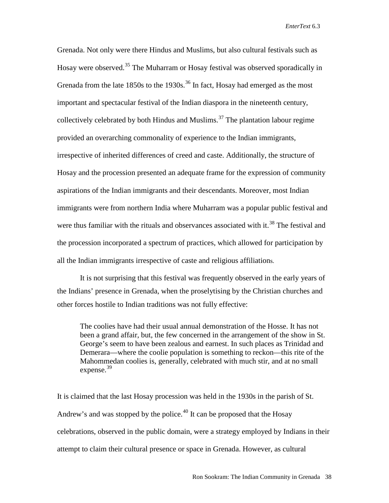Grenada. Not only were there Hindus and Muslims, but also cultural festivals such as Hosay were observed.<sup>[35](#page-22-28)</sup> The Muharram or Hosay festival was observed sporadically in Grenada from the late  $1850s$  to the  $1930s$ .<sup>[36](#page-22-29)</sup> In fact, Hosay had emerged as the most important and spectacular festival of the Indian diaspora in the nineteenth century, collectively celebrated by both Hindus and Muslims.<sup>[37](#page-22-30)</sup> The plantation labour regime provided an overarching commonality of experience to the Indian immigrants, irrespective of inherited differences of creed and caste. Additionally, the structure of Hosay and the procession presented an adequate frame for the expression of community aspirations of the Indian immigrants and their descendants. Moreover, most Indian immigrants were from northern India where Muharram was a popular public festival and were thus familiar with the rituals and observances associated with it.<sup>[38](#page-22-31)</sup> The festival and the procession incorporated a spectrum of practices, which allowed for participation by all the Indian immigrants irrespective of caste and religious affiliations.

It is not surprising that this festival was frequently observed in the early years of the Indians' presence in Grenada, when the proselytising by the Christian churches and other forces hostile to Indian traditions was not fully effective:

The coolies have had their usual annual demonstration of the Hosse. It has not been a grand affair, but, the few concerned in the arrangement of the show in St. George's seem to have been zealous and earnest. In such places as Trinidad and Demerara—where the coolie population is something to reckon—this rite of the Mahommedan coolies is, generally, celebrated with much stir, and at no small expense. $39$ 

It is claimed that the last Hosay procession was held in the 1930s in the parish of St. Andrew's and was stopped by the police.<sup>[40](#page-22-33)</sup> It can be proposed that the Hosay celebrations, observed in the public domain, were a strategy employed by Indians in their attempt to claim their cultural presence or space in Grenada. However, as cultural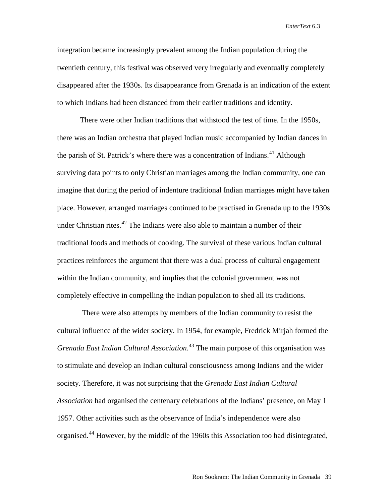integration became increasingly prevalent among the Indian population during the twentieth century, this festival was observed very irregularly and eventually completely disappeared after the 1930s. Its disappearance from Grenada is an indication of the extent to which Indians had been distanced from their earlier traditions and identity.

There were other Indian traditions that withstood the test of time. In the 1950s, there was an Indian orchestra that played Indian music accompanied by Indian dances in the parish of St. Patrick's where there was a concentration of Indians.<sup>[41](#page-22-34)</sup> Although surviving data points to only Christian marriages among the Indian community, one can imagine that during the period of indenture traditional Indian marriages might have taken place. However, arranged marriages continued to be practised in Grenada up to the 1930s under Christian rites.<sup>[42](#page-22-35)</sup> The Indians were also able to maintain a number of their traditional foods and methods of cooking. The survival of these various Indian cultural practices reinforces the argument that there was a dual process of cultural engagement within the Indian community, and implies that the colonial government was not completely effective in compelling the Indian population to shed all its traditions.

There were also attempts by members of the Indian community to resist the cultural influence of the wider society. In 1954, for example, Fredrick Mirjah formed the *Grenada East Indian Cultural Association*. [43](#page-22-36) The main purpose of this organisation was to stimulate and develop an Indian cultural consciousness among Indians and the wider society. Therefore, it was not surprising that the *Grenada East Indian Cultural Association* had organised the centenary celebrations of the Indians' presence, on May 1 1957. Other activities such as the observance of India's independence were also organised.[44](#page-22-37) However, by the middle of the 1960s this Association too had disintegrated,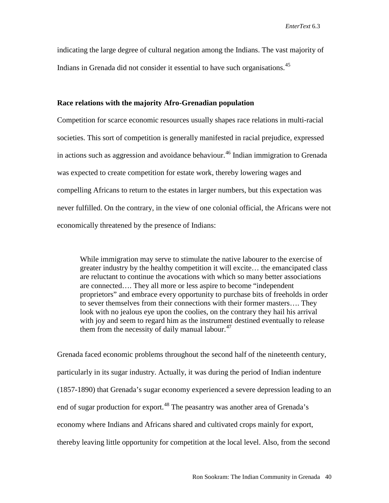indicating the large degree of cultural negation among the Indians. The vast majority of Indians in Grenada did not consider it essential to have such organisations.<sup>[45](#page-22-38)</sup>

### **Race relations with the majority Afro-Grenadian population**

Competition for scarce economic resources usually shapes race relations in multi-racial societies. This sort of competition is generally manifested in racial prejudice, expressed in actions such as aggression and avoidance behaviour.<sup>[46](#page-22-39)</sup> Indian immigration to Grenada was expected to create competition for estate work, thereby lowering wages and compelling Africans to return to the estates in larger numbers, but this expectation was never fulfilled. On the contrary, in the view of one colonial official, the Africans were not economically threatened by the presence of Indians:

While immigration may serve to stimulate the native labourer to the exercise of greater industry by the healthy competition it will excite… the emancipated class are reluctant to continue the avocations with which so many better associations are connected…. They all more or less aspire to become "independent proprietors" and embrace every opportunity to purchase bits of freeholds in order to sever themselves from their connections with their former masters…. They look with no jealous eye upon the coolies, on the contrary they hail his arrival with joy and seem to regard him as the instrument destined eventually to release them from the necessity of daily manual labour. $47$ 

Grenada faced economic problems throughout the second half of the nineteenth century, particularly in its sugar industry. Actually, it was during the period of Indian indenture (1857-1890) that Grenada's sugar economy experienced a severe depression leading to an end of sugar production for export.<sup>[48](#page-22-41)</sup> The peasantry was another area of Grenada's economy where Indians and Africans shared and cultivated crops mainly for export, thereby leaving little opportunity for competition at the local level. Also, from the second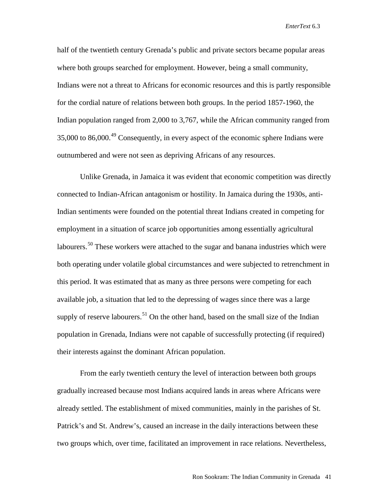half of the twentieth century Grenada's public and private sectors became popular areas where both groups searched for employment. However, being a small community, Indians were not a threat to Africans for economic resources and this is partly responsible for the cordial nature of relations between both groups. In the period 1857-1960, the Indian population ranged from 2,000 to 3,767, while the African community ranged from 35,000 to 86,000.<sup>[49](#page-22-42)</sup> Consequently, in every aspect of the economic sphere Indians were outnumbered and were not seen as depriving Africans of any resources.

Unlike Grenada, in Jamaica it was evident that economic competition was directly connected to Indian-African antagonism or hostility. In Jamaica during the 1930s, anti-Indian sentiments were founded on the potential threat Indians created in competing for employment in a situation of scarce job opportunities among essentially agricultural labourers.<sup>[50](#page-22-43)</sup> These workers were attached to the sugar and banana industries which were both operating under volatile global circumstances and were subjected to retrenchment in this period. It was estimated that as many as three persons were competing for each available job, a situation that led to the depressing of wages since there was a large supply of reserve labourers.<sup>[51](#page-22-44)</sup> On the other hand, based on the small size of the Indian population in Grenada, Indians were not capable of successfully protecting (if required) their interests against the dominant African population.

From the early twentieth century the level of interaction between both groups gradually increased because most Indians acquired lands in areas where Africans were already settled. The establishment of mixed communities, mainly in the parishes of St. Patrick's and St. Andrew's, caused an increase in the daily interactions between these two groups which, over time, facilitated an improvement in race relations. Nevertheless,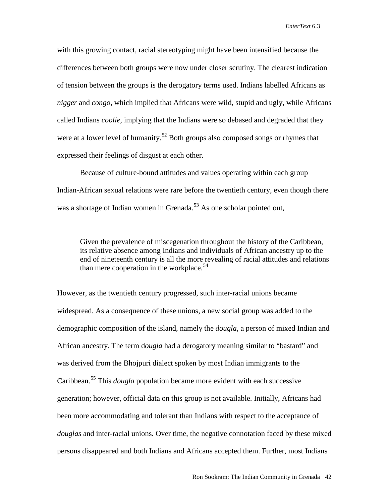with this growing contact, racial stereotyping might have been intensified because the differences between both groups were now under closer scrutiny. The clearest indication of tension between the groups is the derogatory terms used. Indians labelled Africans as *nigger* and *congo*, which implied that Africans were wild, stupid and ugly, while Africans called Indians *coolie*, implying that the Indians were so debased and degraded that they were at a lower level of humanity.<sup>[52](#page-22-45)</sup> Both groups also composed songs or rhymes that expressed their feelings of disgust at each other.

Because of culture-bound attitudes and values operating within each group Indian-African sexual relations were rare before the twentieth century, even though there was a shortage of Indian women in Grenada.<sup>[53](#page-22-46)</sup> As one scholar pointed out,

Given the prevalence of miscegenation throughout the history of the Caribbean, its relative absence among Indians and individuals of African ancestry up to the end of nineteenth century is all the more revealing of racial attitudes and relations than mere cooperation in the workplace.<sup>[54](#page-22-47)</sup>

However, as the twentieth century progressed, such inter-racial unions became widespread. As a consequence of these unions, a new social group was added to the demographic composition of the island, namely the *dougla*, a person of mixed Indian and African ancestry. The term d*ougla* had a derogatory meaning similar to "bastard" and was derived from the Bhojpuri dialect spoken by most Indian immigrants to the Caribbean.[55](#page-22-48) This *dougla* population became more evident with each successive generation; however, official data on this group is not available. Initially, Africans had been more accommodating and tolerant than Indians with respect to the acceptance of *douglas* and inter-racial unions. Over time, the negative connotation faced by these mixed persons disappeared and both Indians and Africans accepted them. Further, most Indians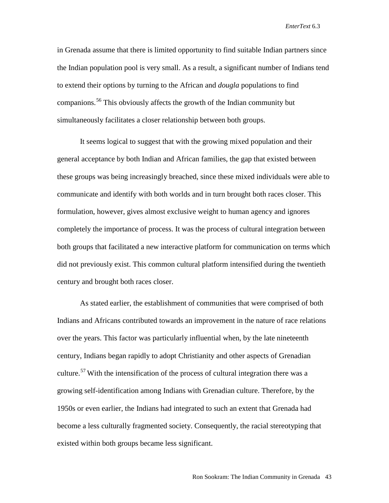in Grenada assume that there is limited opportunity to find suitable Indian partners since the Indian population pool is very small. As a result, a significant number of Indians tend to extend their options by turning to the African and *dougla* populations to find companions.[56](#page-22-49) This obviously affects the growth of the Indian community but simultaneously facilitates a closer relationship between both groups.

It seems logical to suggest that with the growing mixed population and their general acceptance by both Indian and African families, the gap that existed between these groups was being increasingly breached, since these mixed individuals were able to communicate and identify with both worlds and in turn brought both races closer. This formulation, however, gives almost exclusive weight to human agency and ignores completely the importance of process. It was the process of cultural integration between both groups that facilitated a new interactive platform for communication on terms which did not previously exist. This common cultural platform intensified during the twentieth century and brought both races closer.

As stated earlier, the establishment of communities that were comprised of both Indians and Africans contributed towards an improvement in the nature of race relations over the years. This factor was particularly influential when, by the late nineteenth century, Indians began rapidly to adopt Christianity and other aspects of Grenadian culture.<sup>[57](#page-22-50)</sup> With the intensification of the process of cultural integration there was a growing self-identification among Indians with Grenadian culture. Therefore, by the 1950s or even earlier, the Indians had integrated to such an extent that Grenada had become a less culturally fragmented society. Consequently, the racial stereotyping that existed within both groups became less significant.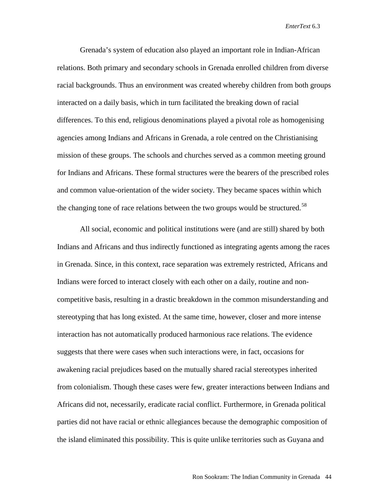Grenada's system of education also played an important role in Indian-African relations. Both primary and secondary schools in Grenada enrolled children from diverse racial backgrounds. Thus an environment was created whereby children from both groups interacted on a daily basis, which in turn facilitated the breaking down of racial differences. To this end, religious denominations played a pivotal role as homogenising agencies among Indians and Africans in Grenada, a role centred on the Christianising mission of these groups. The schools and churches served as a common meeting ground for Indians and Africans. These formal structures were the bearers of the prescribed roles and common value-orientation of the wider society. They became spaces within which the changing tone of race relations between the two groups would be structured.<sup>[58](#page-22-51)</sup>

All social, economic and political institutions were (and are still) shared by both Indians and Africans and thus indirectly functioned as integrating agents among the races in Grenada. Since, in this context, race separation was extremely restricted, Africans and Indians were forced to interact closely with each other on a daily, routine and noncompetitive basis, resulting in a drastic breakdown in the common misunderstanding and stereotyping that has long existed. At the same time, however, closer and more intense interaction has not automatically produced harmonious race relations. The evidence suggests that there were cases when such interactions were, in fact, occasions for awakening racial prejudices based on the mutually shared racial stereotypes inherited from colonialism. Though these cases were few, greater interactions between Indians and Africans did not, necessarily, eradicate racial conflict. Furthermore, in Grenada political parties did not have racial or ethnic allegiances because the demographic composition of the island eliminated this possibility. This is quite unlike territories such as Guyana and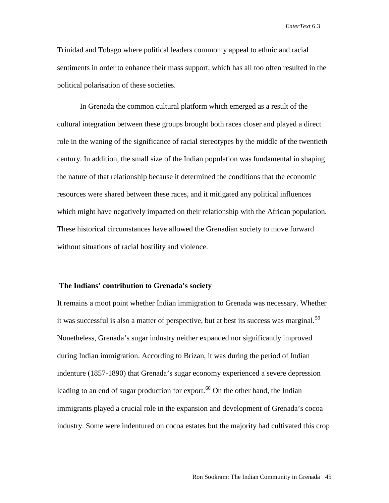Trinidad and Tobago where political leaders commonly appeal to ethnic and racial sentiments in order to enhance their mass support, which has all too often resulted in the political polarisation of these societies.

In Grenada the common cultural platform which emerged as a result of the cultural integration between these groups brought both races closer and played a direct role in the waning of the significance of racial stereotypes by the middle of the twentieth century. In addition, the small size of the Indian population was fundamental in shaping the nature of that relationship because it determined the conditions that the economic resources were shared between these races, and it mitigated any political influences which might have negatively impacted on their relationship with the African population. These historical circumstances have allowed the Grenadian society to move forward without situations of racial hostility and violence.

# **The Indians' contribution to Grenada's society**

It remains a moot point whether Indian immigration to Grenada was necessary. Whether it was successful is also a matter of perspective, but at best its success was marginal.<sup>[59](#page-22-52)</sup> Nonetheless, Grenada's sugar industry neither expanded nor significantly improved during Indian immigration. According to Brizan, it was during the period of Indian indenture (1857-1890) that Grenada's sugar economy experienced a severe depression leading to an end of sugar production for export.<sup>[60](#page-22-53)</sup> On the other hand, the Indian immigrants played a crucial role in the expansion and development of Grenada's cocoa industry. Some were indentured on cocoa estates but the majority had cultivated this crop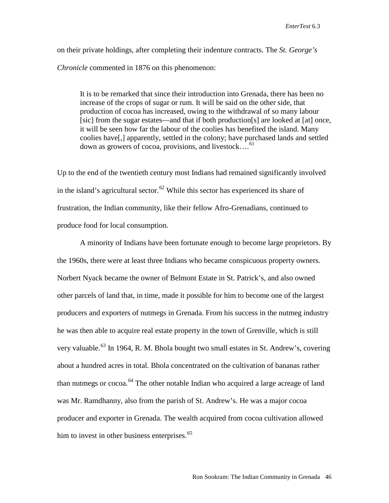on their private holdings, after completing their indenture contracts. The *St. George's Chronicle* commented in 1876 on this phenomenon:

It is to be remarked that since their introduction into Grenada, there has been no increase of the crops of sugar or rum. It will be said on the other side, that production of cocoa has increased, owing to the withdrawal of so many labour [sic] from the sugar estates—and that if both production[s] are looked at [at] once, it will be seen how far the labour of the coolies has benefited the island. Many coolies have[,] apparently, settled in the colony; have purchased lands and settled down as growers of cocoa, provisions, and livestock…. [61](#page-22-54)

Up to the end of the twentieth century most Indians had remained significantly involved in the island's agricultural sector.<sup>[62](#page-22-55)</sup> While this sector has experienced its share of frustration, the Indian community, like their fellow Afro-Grenadians, continued to produce food for local consumption.

A minority of Indians have been fortunate enough to become large proprietors. By the 1960s, there were at least three Indians who became conspicuous property owners. Norbert Nyack became the owner of Belmont Estate in St. Patrick's, and also owned other parcels of land that, in time, made it possible for him to become one of the largest producers and exporters of nutmegs in Grenada. From his success in the nutmeg industry he was then able to acquire real estate property in the town of Grenville, which is still very valuable.<sup>[63](#page-22-56)</sup> In 1964, R. M. Bhola bought two small estates in St. Andrew's, covering about a hundred acres in total. Bhola concentrated on the cultivation of bananas rather than nutmegs or  $\csc 0a$ .<sup>[64](#page-22-22)</sup> The other notable Indian who acquired a large acreage of land was Mr. Ramdhanny, also from the parish of St. Andrew's. He was a major cocoa producer and exporter in Grenada. The wealth acquired from cocoa cultivation allowed him to invest in other business enterprises.<sup>[65](#page-22-57)</sup>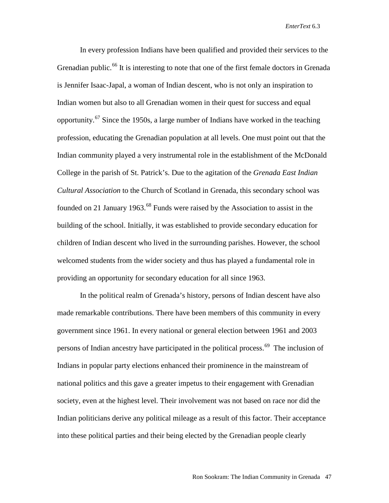In every profession Indians have been qualified and provided their services to the Grenadian public.<sup>[66](#page-22-58)</sup> It is interesting to note that one of the first female doctors in Grenada is Jennifer Isaac-Japal, a woman of Indian descent, who is not only an inspiration to Indian women but also to all Grenadian women in their quest for success and equal opportunity.<sup>[67](#page-22-59)</sup> Since the 1950s, a large number of Indians have worked in the teaching profession, educating the Grenadian population at all levels. One must point out that the Indian community played a very instrumental role in the establishment of the McDonald College in the parish of St. Patrick's. Due to the agitation of the *Grenada East Indian Cultural Association* to the Church of Scotland in Grenada, this secondary school was founded on 21 January 1963.<sup>[68](#page-22-24)</sup> Funds were raised by the Association to assist in the building of the school. Initially, it was established to provide secondary education for children of Indian descent who lived in the surrounding parishes. However, the school welcomed students from the wider society and thus has played a fundamental role in providing an opportunity for secondary education for all since 1963.

In the political realm of Grenada's history, persons of Indian descent have also made remarkable contributions. There have been members of this community in every government since 1961. In every national or general election between 1961 and 2003 persons of Indian ancestry have participated in the political process.<sup>69</sup> The inclusion of Indians in popular party elections enhanced their prominence in the mainstream of national politics and this gave a greater impetus to their engagement with Grenadian society, even at the highest level. Their involvement was not based on race nor did the Indian politicians derive any political mileage as a result of this factor. Their acceptance into these political parties and their being elected by the Grenadian people clearly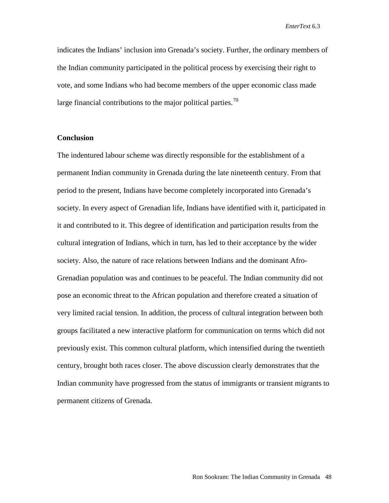indicates the Indians' inclusion into Grenada's society. Further, the ordinary members of the Indian community participated in the political process by exercising their right to vote, and some Indians who had become members of the upper economic class made large financial contributions to the major political parties.<sup>[70](#page-22-60)</sup>

# **Conclusion**

The indentured labour scheme was directly responsible for the establishment of a permanent Indian community in Grenada during the late nineteenth century. From that period to the present, Indians have become completely incorporated into Grenada's society. In every aspect of Grenadian life, Indians have identified with it, participated in it and contributed to it. This degree of identification and participation results from the cultural integration of Indians, which in turn, has led to their acceptance by the wider society. Also, the nature of race relations between Indians and the dominant Afro-Grenadian population was and continues to be peaceful. The Indian community did not pose an economic threat to the African population and therefore created a situation of very limited racial tension. In addition, the process of cultural integration between both groups facilitated a new interactive platform for communication on terms which did not previously exist. This common cultural platform, which intensified during the twentieth century, brought both races closer. The above discussion clearly demonstrates that the Indian community have progressed from the status of immigrants or transient migrants to permanent citizens of Grenada.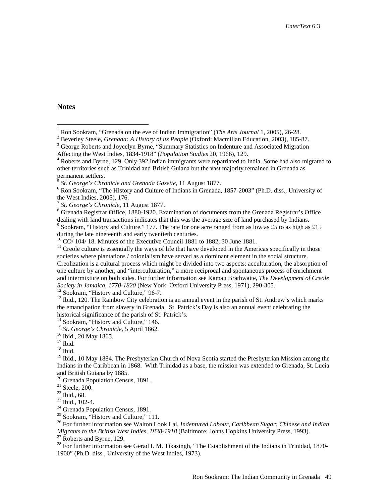#### **Notes**

<span id="page-20-0"></span><sup>&</sup>lt;sup>1</sup> Ron Sookram, "Grenada on the eve of Indian Immigration" (*The Arts Journal* 1, 2005), 26-28.<br><sup>2</sup> Beverley Steele, *Grenada: A History of its People* (Oxford: Macmillan Education, 2003), 185-87.<br><sup>3</sup> George Roberts and

<sup>&</sup>lt;sup>4</sup> Roberts and Byrne, 129. Only 392 Indian immigrants were repatriated to India. Some had also migrated to other territories such as Trinidad and British Guiana but the vast majority remained in Grenada as permanent settlers.<br><sup>5</sup> St. George's Chronicle and Grenada Gazette, 11 August 1877.

<sup>&</sup>lt;sup>6</sup> Ron Sookram, "The History and Culture of Indians in Grenada, 1857-2003" (Ph.D. diss., University of the West Indies, 2005), 176.<br>
<sup>7</sup> St. George's Chronicle, 11 August 1877.

<sup>&</sup>lt;sup>8</sup> Grenada Registrar Office, 1880-1920. Examination of documents from the Grenada Registrar's Office dealing with land transactions indicates that this was the average size of land purchased by Indians. <sup>9</sup> Sookram, "History and Culture," 177. The rate for one acre ranged from as low as £5 to as high as £15 during the late nineteenth and early twentieth centuries.<br> $^{10}$  CO/ 104/ 18. Minutes of the Executive Council 1881 to 1882, 30 June 1881.

 $11$  Creole culture is essentially the ways of life that have developed in the Americas specifically in those societies where plantations / colonialism have served as a dominant element in the social structure. Creolization is a cultural process which might be divided into two aspects: acculturation, the absorption of one culture by another, and "interculturation," a more reciprocal and spontaneous process of enrichment and intermixture on both sides. For further information see Kamau Brathwaite, *The Development of Creole*  Society in Jamaica, 1770-1820 (New York: Oxford University Press, 1971), 290-305.<br><sup>12</sup> Sookram, "History and Culture," 96-7.<br><sup>13</sup> Ibid., 120. The Rainbow City celebration is an annual event in the parish of St. Andrew's wh

the emancipation from slavery in Grenada. St. Patrick's Day is also an annual event celebrating the historical significance of the parish of St. Patrick's.<br><sup>14</sup> Sookram, "History and Culture," 146.

<sup>15</sup> *St. George's Chronicle*, 5 April 1862.<br><sup>16</sup> Ibid., 20 May 1865. <sup>17</sup> Ibid. <sup>18</sup> Ibid.

<sup>&</sup>lt;sup>19</sup> Ibid., 10 May 1884. The Presbyterian Church of Nova Scotia started the Presbyterian Mission among the Indians in the Caribbean in 1868. With Trinidad as a base, the mission was extended to Grenada, St. Lucia and British Guiana by 1885.<br><sup>20</sup> Grenada Population Census, 1891.

<sup>&</sup>lt;sup>21</sup> Steele, 200.<br>
<sup>22</sup> Steele, 200.<br>
<sup>23</sup> Ibid., 68.<br>
<sup>23</sup> Grenada Population Census, 1891.<br>
<sup>25</sup> Sookram, "History and Culture," 111.<br>
<sup>25</sup> Sookram, "History and Culture," 111.<br>
<sup>26</sup> For further information see Walton L

<sup>&</sup>lt;sup>27</sup> Roberts and Byrne, 129.<br><sup>28</sup> For further information see Gerad I. M. Tikasingh, "The Establishment of the Indians in Trinidad, 1870-1900" (Ph.D. diss., University of the West Indies, 1973).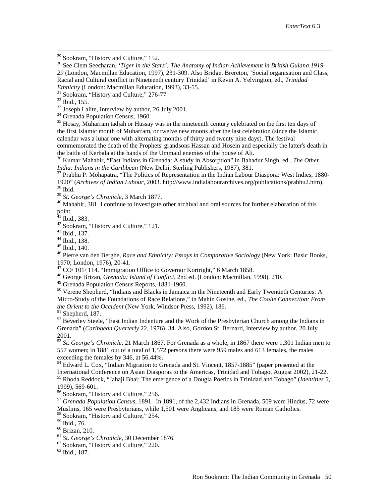<sup>29</sup> Sookram, "History and Culture," 152.<br><sup>30</sup> See Clem Seecharan, *'Tiger in the Stars': The Anatomy of Indian Achievement in British Guiana 1919-29* (London, Macmillan Education, 1997), 231-309. Also Bridget Brereton, 'Social organisation and Class, Racial and Cultural conflict in Nineteenth century Trinidad' in Kevin A. Yelvington, ed., *Trinidad* 

<sup>31</sup> Sookram, "History and Culture," 276-77<br><sup>32</sup> Ibid., 155.<br><sup>33</sup> Joseph Lalite, Interview by author, 26 July 2001.<br><sup>34</sup> Grenada Population Census, 1960.<br><sup>35</sup> Hosay, Muharram tadjah or Hussay was in the nineteenth century the first Islamic month of Muharram, or twelve new moons after the last celebration (since the Islamic calendar was a lunar one with alternating months of thirty and twenty nine days). The festival commemorated the death of the Prophets' grandsons Hassan and Hosein and especially the latter's death in the battle of Kerbala at the hands of the Ummaid enemies of the house of Ali.

<span id="page-21-2"></span><span id="page-21-1"></span><span id="page-21-0"></span><sup>36</sup> Kumar Mahabir, "East Indians in Grenada: A study in Absorption" in Bahadur Singh, ed., *The Other India: Indians in the Caribbean* (New Delhi: Sterling Publishers, 1987), 381.

<span id="page-21-3"></span><sup>37</sup> Prabhu P. Mohapatra, "The Politics of Representation in the Indian Labour Diaspora: West Indies, 1880-1920" (*Archives of Indian Labour*, 2003. [http://www.indialabourarchives.org/publications/prabhu2.htm\)](http://www.indialabourarchives.org/publications/prabhu2.htm).<br><sup>38</sup> Ibid.<br><sup>39</sup> St. George's Chronicle, 3 March 1877.

<span id="page-21-4"></span>

<sup>40</sup> Mahabir, 381. I continue to investigate other archival and oral sources for further elaboration of this point.<br> $41$  Ibid., 383.

<sup>42</sup> Sookram, "History and Culture," 121.<br><sup>43</sup> Ibid., 137.<br><sup>44</sup> Ibid., 138.<br><sup>45</sup> Ibid., 140.<br><sup>46</sup> Pierre van den Berghe, *Race and Ethnicity: Essays in Comparative Sociology* (New York: Basic Books, 1970; London, 1976), 20

<sup>47</sup> CO/ 101/ 114. "Immigration Office to Governor Kortright," 6 March 1858.<br><sup>48</sup> George Brizan, *Grenada: Island of Conflict*, 2nd ed. (London: Macmillan, 1998), 210.<br><sup>49</sup> Grenada Population Census Reports, 1881-1960.

 $50$  Verene Shepherd, "Indians and Blacks in Jamaica in the Nineteenth and Early Twentieth Centuries: A Micro-Study of the Foundations of Race Relations," in Mahin Gosine, ed., *The Coolie Connection: From* 

<sup>51</sup> Shepherd, 187.<br><sup>52</sup> Beverley Steele, "East Indian Indenture and the Work of the Presbyterian Church among the Indians in Grenada" (*Caribbean Quarterly* 22, 1976), 34. Also, Gordon St. Bernard, Interview by author, 20 July 2001.

<sup>53</sup> *St. George's Chronicle*, 21 March 1867. For Grenada as a whole, in 1867 there were 1,301 Indian men to 557 women; in 1881 out of a total of 1,572 persons there were 959 males and 613 females, the males exceeding the females by 346, at 56.44%.<br><sup>54</sup> Edward L. Cox, "Indian Migration to Grenada and St. Vincent, 1857-1885" (paper presented at the

International Conference on Asian Diasporas to the Americas, Trinidad and Tobago, August 2002), 21-22.<br><sup>55</sup> Rhoda Reddock, "Jahaji Bhai: The emergence of a Dougla Poetics in Trinidad and Tobago" (*Identities* 5, 1999), 569

<sup>56</sup> Sookram, "History and Culture," 256.<br><sup>57</sup> *Grenada Population Census*, 1891. In 1891, of the 2,432 Indians in Grenada, 509 were Hindus, 72 were Muslims, 165 were Presbyterians, while 1,501 were Anglicans, and 185 were Roman Catholics. <sup>58</sup> Sookram, "History and Culture," 254.<br><sup>59</sup> Ibid.. 76.

<sup>60</sup> Brizan, 210.<br><sup>61</sup> *St. George's Chronicle*, 30 December 1876.<br><sup>62</sup> Sookram, "History and Culture," 220.<br><sup>63</sup> Ibid., 187.